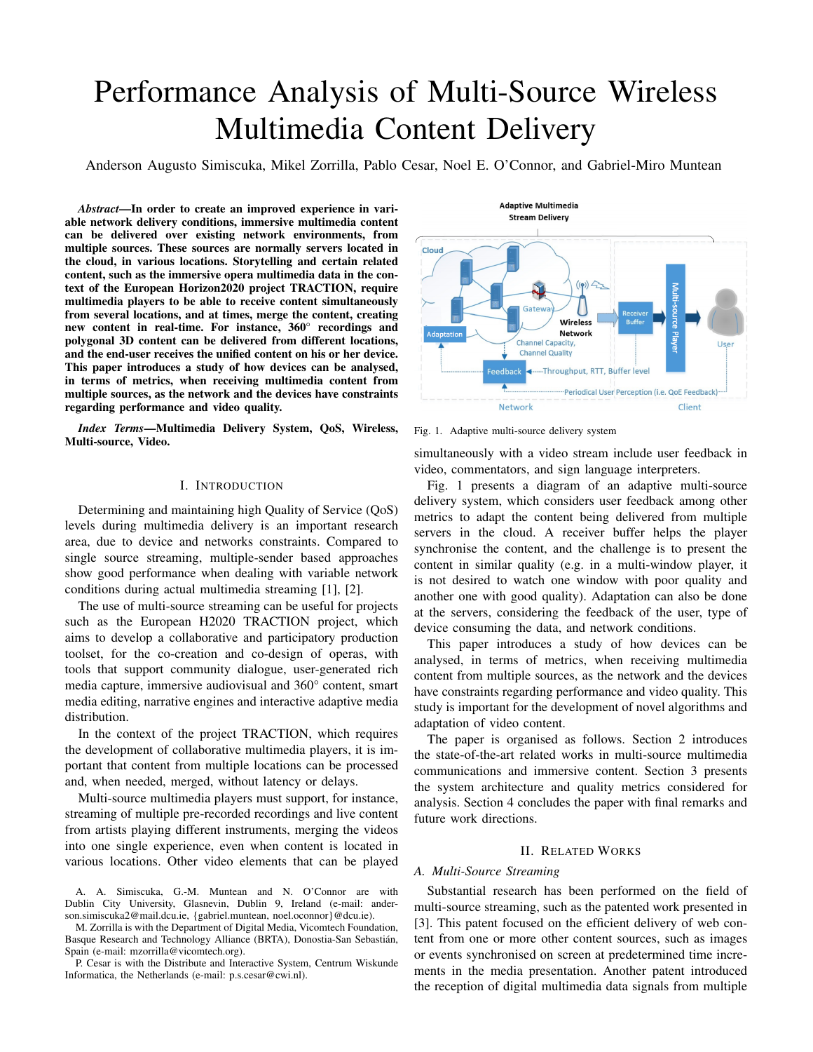# Performance Analysis of Multi-Source Wireless Multimedia Content Delivery

Anderson Augusto Simiscuka, Mikel Zorrilla, Pablo Cesar, Noel E. O'Connor, and Gabriel-Miro Muntean

*Abstract*—In order to create an improved experience in variable network delivery conditions, immersive multimedia content can be delivered over existing network environments, from multiple sources. These sources are normally servers located in the cloud, in various locations. Storytelling and certain related content, such as the immersive opera multimedia data in the context of the European Horizon2020 project TRACTION, require multimedia players to be able to receive content simultaneously from several locations, and at times, merge the content, creating new content in real-time. For instance, 360° recordings and polygonal 3D content can be delivered from different locations, and the end-user receives the unified content on his or her device. This paper introduces a study of how devices can be analysed, in terms of metrics, when receiving multimedia content from multiple sources, as the network and the devices have constraints regarding performance and video quality.

*Index Terms*—Multimedia Delivery System, QoS, Wireless, Multi-source, Video.

# I. INTRODUCTION

Determining and maintaining high Quality of Service (QoS) levels during multimedia delivery is an important research area, due to device and networks constraints. Compared to single source streaming, multiple-sender based approaches show good performance when dealing with variable network conditions during actual multimedia streaming [1], [2].

The use of multi-source streaming can be useful for projects such as the European H2020 TRACTION project, which aims to develop a collaborative and participatory production toolset, for the co-creation and co-design of operas, with tools that support community dialogue, user-generated rich media capture, immersive audiovisual and 360° content, smart media editing, narrative engines and interactive adaptive media distribution.

In the context of the project TRACTION, which requires the development of collaborative multimedia players, it is important that content from multiple locations can be processed and, when needed, merged, without latency or delays.

Multi-source multimedia players must support, for instance, streaming of multiple pre-recorded recordings and live content from artists playing different instruments, merging the videos into one single experience, even when content is located in various locations. Other video elements that can be played

A. A. Simiscuka, G.-M. Muntean and N. O'Connor are with Dublin City University, Glasnevin, Dublin 9, Ireland (e-mail: anderson.simiscuka2@mail.dcu.ie, {gabriel.muntean, noel.oconnor}@dcu.ie).

M. Zorrilla is with the Department of Digital Media, Vicomtech Foundation, Basque Research and Technology Alliance (BRTA), Donostia-San Sebastián, Spain (e-mail: mzorrilla@vicomtech.org).

P. Cesar is with the Distribute and Interactive System, Centrum Wiskunde Informatica, the Netherlands (e-mail: p.s.cesar@cwi.nl).



Fig. 1. Adaptive multi-source delivery system

simultaneously with a video stream include user feedback in video, commentators, and sign language interpreters.

Fig. 1 presents a diagram of an adaptive multi-source delivery system, which considers user feedback among other metrics to adapt the content being delivered from multiple servers in the cloud. A receiver buffer helps the player synchronise the content, and the challenge is to present the content in similar quality (e.g. in a multi-window player, it is not desired to watch one window with poor quality and another one with good quality). Adaptation can also be done at the servers, considering the feedback of the user, type of device consuming the data, and network conditions.

This paper introduces a study of how devices can be analysed, in terms of metrics, when receiving multimedia content from multiple sources, as the network and the devices have constraints regarding performance and video quality. This study is important for the development of novel algorithms and adaptation of video content.

The paper is organised as follows. Section 2 introduces the state-of-the-art related works in multi-source multimedia communications and immersive content. Section 3 presents the system architecture and quality metrics considered for analysis. Section 4 concludes the paper with final remarks and future work directions.

#### II. RELATED WORKS

### *A. Multi-Source Streaming*

Substantial research has been performed on the field of multi-source streaming, such as the patented work presented in [3]. This patent focused on the efficient delivery of web content from one or more other content sources, such as images or events synchronised on screen at predetermined time increments in the media presentation. Another patent introduced the reception of digital multimedia data signals from multiple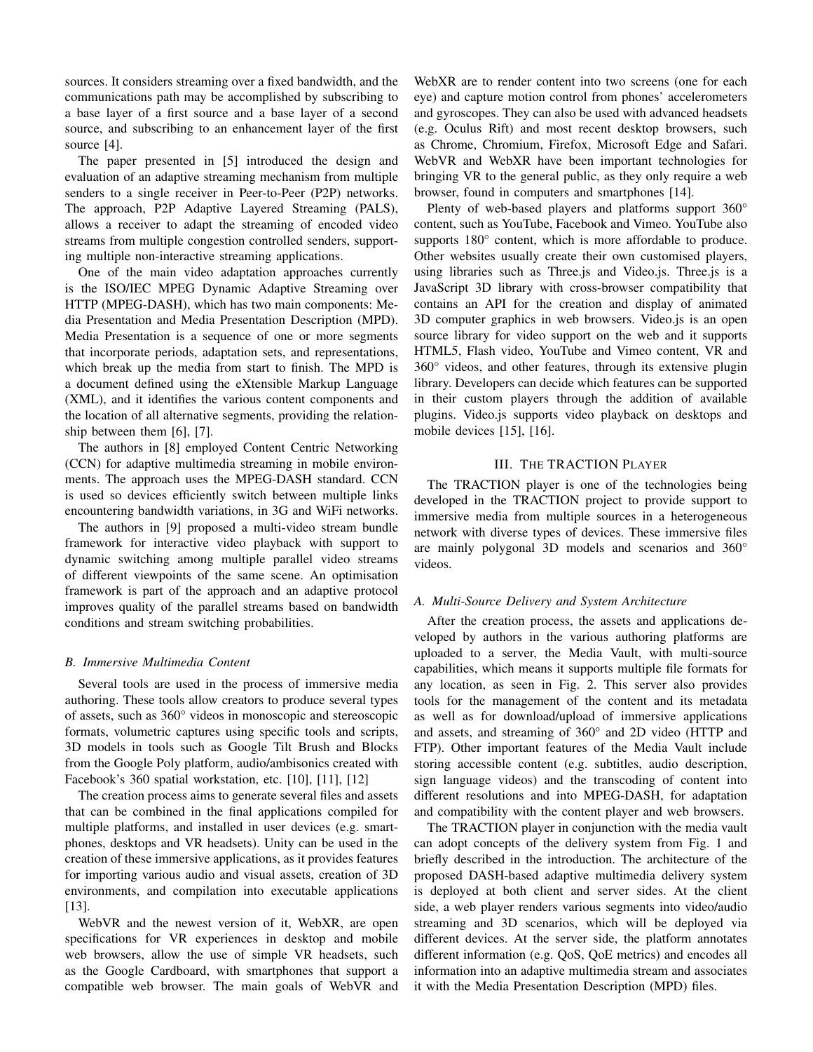sources. It considers streaming over a fixed bandwidth, and the communications path may be accomplished by subscribing to a base layer of a first source and a base layer of a second source, and subscribing to an enhancement layer of the first source [4].

The paper presented in [5] introduced the design and evaluation of an adaptive streaming mechanism from multiple senders to a single receiver in Peer-to-Peer (P2P) networks. The approach, P2P Adaptive Layered Streaming (PALS), allows a receiver to adapt the streaming of encoded video streams from multiple congestion controlled senders, supporting multiple non-interactive streaming applications.

One of the main video adaptation approaches currently is the ISO/IEC MPEG Dynamic Adaptive Streaming over HTTP (MPEG-DASH), which has two main components: Media Presentation and Media Presentation Description (MPD). Media Presentation is a sequence of one or more segments that incorporate periods, adaptation sets, and representations, which break up the media from start to finish. The MPD is a document defined using the eXtensible Markup Language (XML), and it identifies the various content components and the location of all alternative segments, providing the relationship between them [6], [7].

The authors in [8] employed Content Centric Networking (CCN) for adaptive multimedia streaming in mobile environments. The approach uses the MPEG-DASH standard. CCN is used so devices efficiently switch between multiple links encountering bandwidth variations, in 3G and WiFi networks.

The authors in [9] proposed a multi-video stream bundle framework for interactive video playback with support to dynamic switching among multiple parallel video streams of different viewpoints of the same scene. An optimisation framework is part of the approach and an adaptive protocol improves quality of the parallel streams based on bandwidth conditions and stream switching probabilities.

## *B. Immersive Multimedia Content*

Several tools are used in the process of immersive media authoring. These tools allow creators to produce several types of assets, such as 360° videos in monoscopic and stereoscopic formats, volumetric captures using specific tools and scripts, 3D models in tools such as Google Tilt Brush and Blocks from the Google Poly platform, audio/ambisonics created with Facebook's 360 spatial workstation, etc. [10], [11], [12]

The creation process aims to generate several files and assets that can be combined in the final applications compiled for multiple platforms, and installed in user devices (e.g. smartphones, desktops and VR headsets). Unity can be used in the creation of these immersive applications, as it provides features for importing various audio and visual assets, creation of 3D environments, and compilation into executable applications [13].

WebVR and the newest version of it, WebXR, are open specifications for VR experiences in desktop and mobile web browsers, allow the use of simple VR headsets, such as the Google Cardboard, with smartphones that support a compatible web browser. The main goals of WebVR and

WebXR are to render content into two screens (one for each eye) and capture motion control from phones' accelerometers and gyroscopes. They can also be used with advanced headsets (e.g. Oculus Rift) and most recent desktop browsers, such as Chrome, Chromium, Firefox, Microsoft Edge and Safari. WebVR and WebXR have been important technologies for bringing VR to the general public, as they only require a web browser, found in computers and smartphones [14].

Plenty of web-based players and platforms support 360° content, such as YouTube, Facebook and Vimeo. YouTube also supports  $180^{\circ}$  content, which is more affordable to produce. Other websites usually create their own customised players, using libraries such as Three.js and Video.js. Three.js is a JavaScript 3D library with cross-browser compatibility that contains an API for the creation and display of animated 3D computer graphics in web browsers. Video.js is an open source library for video support on the web and it supports HTML5, Flash video, YouTube and Vimeo content, VR and 360° videos, and other features, through its extensive plugin library. Developers can decide which features can be supported in their custom players through the addition of available plugins. Video.js supports video playback on desktops and mobile devices [15], [16].

# III. THE TRACTION PLAYER

The TRACTION player is one of the technologies being developed in the TRACTION project to provide support to immersive media from multiple sources in a heterogeneous network with diverse types of devices. These immersive files are mainly polygonal 3D models and scenarios and 360° videos.

#### *A. Multi-Source Delivery and System Architecture*

After the creation process, the assets and applications developed by authors in the various authoring platforms are uploaded to a server, the Media Vault, with multi-source capabilities, which means it supports multiple file formats for any location, as seen in Fig. 2. This server also provides tools for the management of the content and its metadata as well as for download/upload of immersive applications and assets, and streaming of 360° and 2D video (HTTP and FTP). Other important features of the Media Vault include storing accessible content (e.g. subtitles, audio description, sign language videos) and the transcoding of content into different resolutions and into MPEG-DASH, for adaptation and compatibility with the content player and web browsers.

The TRACTION player in conjunction with the media vault can adopt concepts of the delivery system from Fig. 1 and briefly described in the introduction. The architecture of the proposed DASH-based adaptive multimedia delivery system is deployed at both client and server sides. At the client side, a web player renders various segments into video/audio streaming and 3D scenarios, which will be deployed via different devices. At the server side, the platform annotates different information (e.g. QoS, QoE metrics) and encodes all information into an adaptive multimedia stream and associates it with the Media Presentation Description (MPD) files.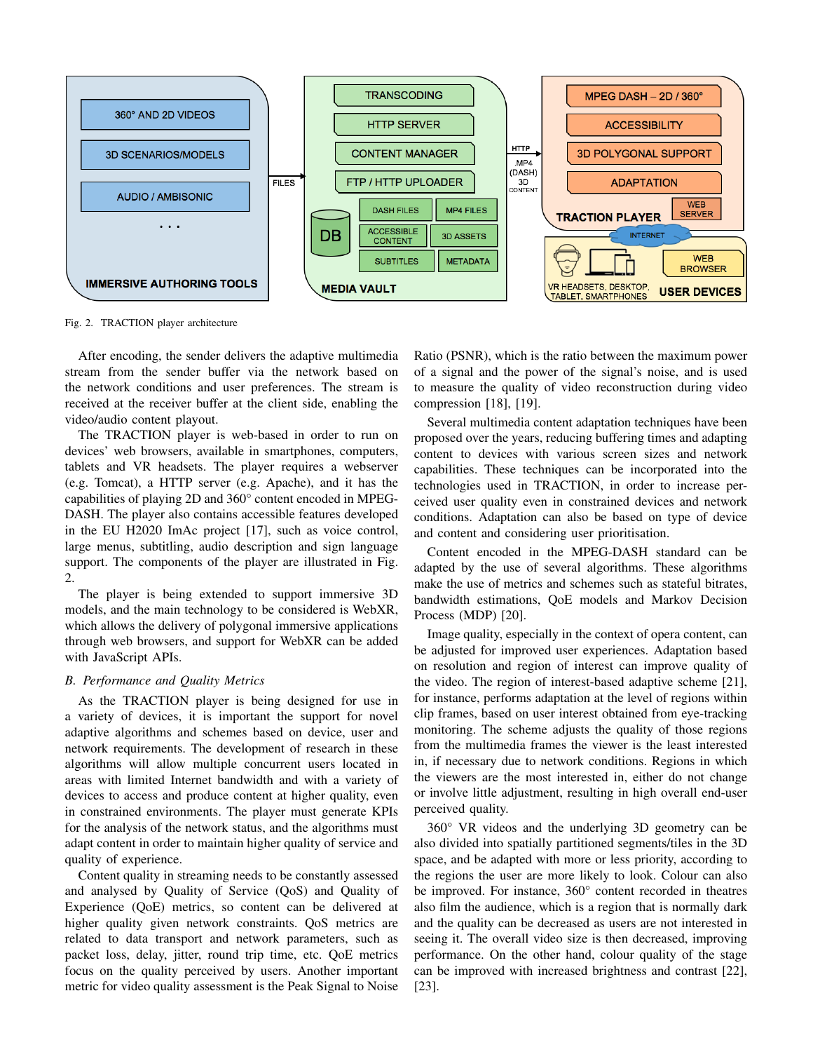

Fig. 2. TRACTION player architecture

After encoding, the sender delivers the adaptive multimedia stream from the sender buffer via the network based on the network conditions and user preferences. The stream is received at the receiver buffer at the client side, enabling the video/audio content playout.

The TRACTION player is web-based in order to run on devices' web browsers, available in smartphones, computers, tablets and VR headsets. The player requires a webserver (e.g. Tomcat), a HTTP server (e.g. Apache), and it has the capabilities of playing 2D and 360° content encoded in MPEG-DASH. The player also contains accessible features developed in the EU H2020 ImAc project [17], such as voice control, large menus, subtitling, audio description and sign language support. The components of the player are illustrated in Fig. 2.

The player is being extended to support immersive 3D models, and the main technology to be considered is WebXR, which allows the delivery of polygonal immersive applications through web browsers, and support for WebXR can be added with JavaScript APIs.

# *B. Performance and Quality Metrics*

As the TRACTION player is being designed for use in a variety of devices, it is important the support for novel adaptive algorithms and schemes based on device, user and network requirements. The development of research in these algorithms will allow multiple concurrent users located in areas with limited Internet bandwidth and with a variety of devices to access and produce content at higher quality, even in constrained environments. The player must generate KPIs for the analysis of the network status, and the algorithms must adapt content in order to maintain higher quality of service and quality of experience.

Content quality in streaming needs to be constantly assessed and analysed by Quality of Service (QoS) and Quality of Experience (QoE) metrics, so content can be delivered at higher quality given network constraints. QoS metrics are related to data transport and network parameters, such as packet loss, delay, jitter, round trip time, etc. QoE metrics focus on the quality perceived by users. Another important metric for video quality assessment is the Peak Signal to Noise Ratio (PSNR), which is the ratio between the maximum power of a signal and the power of the signal's noise, and is used to measure the quality of video reconstruction during video compression [18], [19].

Several multimedia content adaptation techniques have been proposed over the years, reducing buffering times and adapting content to devices with various screen sizes and network capabilities. These techniques can be incorporated into the technologies used in TRACTION, in order to increase perceived user quality even in constrained devices and network conditions. Adaptation can also be based on type of device and content and considering user prioritisation.

Content encoded in the MPEG-DASH standard can be adapted by the use of several algorithms. These algorithms make the use of metrics and schemes such as stateful bitrates, bandwidth estimations, QoE models and Markov Decision Process (MDP) [20].

Image quality, especially in the context of opera content, can be adjusted for improved user experiences. Adaptation based on resolution and region of interest can improve quality of the video. The region of interest-based adaptive scheme [21], for instance, performs adaptation at the level of regions within clip frames, based on user interest obtained from eye-tracking monitoring. The scheme adjusts the quality of those regions from the multimedia frames the viewer is the least interested in, if necessary due to network conditions. Regions in which the viewers are the most interested in, either do not change or involve little adjustment, resulting in high overall end-user perceived quality.

360° VR videos and the underlying 3D geometry can be also divided into spatially partitioned segments/tiles in the 3D space, and be adapted with more or less priority, according to the regions the user are more likely to look. Colour can also be improved. For instance, 360° content recorded in theatres also film the audience, which is a region that is normally dark and the quality can be decreased as users are not interested in seeing it. The overall video size is then decreased, improving performance. On the other hand, colour quality of the stage can be improved with increased brightness and contrast [22], [23].